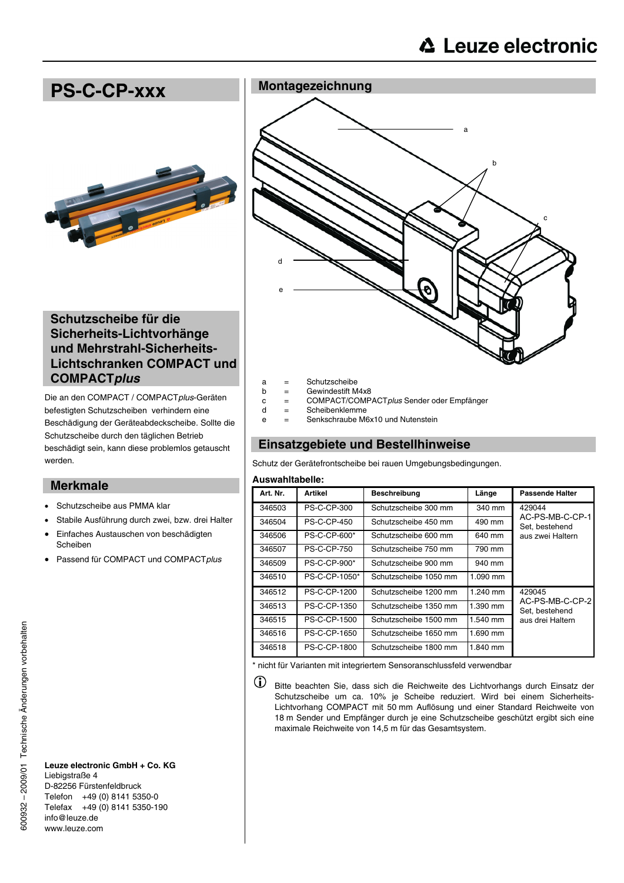

- a = Schutzscheibe
- $b =$  Gewindestift M4x8
- c = COMPACT/COMPACT*plus* Sender oder Empfänger
	- = Scheibenklemme
- e = Senkschraube M6x10 und Nutenstein

## **Einsatzgebiete und Bestellhinweise**

Schutz der Gerätefrontscheibe bei rauen Umgebungsbedingungen.

### **Auswahltabelle:**

| Art. Nr. | Artikel             | <b>Beschreibung</b>   | Länge      | Passende Halter                                                 |
|----------|---------------------|-----------------------|------------|-----------------------------------------------------------------|
| 346503   | <b>PS-C-CP-300</b>  | Schutzscheibe 300 mm  | 340 mm     | 429044<br>AC-PS-MB-C-CP-1<br>Set. bestehend<br>aus zwei Haltern |
| 346504   | <b>PS-C-CP-450</b>  | Schutzscheibe 450 mm  | 490 mm     |                                                                 |
| 346506   | <b>PS-C-CP-600*</b> | Schutzscheibe 600 mm  | 640 mm     |                                                                 |
| 346507   | <b>PS-C-CP-750</b>  | Schutzscheibe 750 mm  | 790 mm     |                                                                 |
| 346509   | <b>PS-C-CP-900*</b> | Schutzscheibe 900 mm  | 940 mm     |                                                                 |
| 346510   | PS-C-CP-1050*       | Schutzscheibe 1050 mm | $1.090$ mm |                                                                 |
| 346512   | <b>PS-C-CP-1200</b> | Schutzscheibe 1200 mm | 1.240 mm   | 429045<br>AC-PS-MB-C-CP-2<br>Set, bestehend<br>aus drei Haltern |
| 346513   | PS-C-CP-1350        | Schutzscheibe 1350 mm | 1.390 mm   |                                                                 |
| 346515   | <b>PS-C-CP-1500</b> | Schutzscheibe 1500 mm | 1.540 mm   |                                                                 |
| 346516   | PS-C-CP-1650        | Schutzscheibe 1650 mm | $1.690$ mm |                                                                 |
| 346518   | PS-C-CP-1800        | Schutzscheibe 1800 mm | 1.840 mm   |                                                                 |

\* nicht für Varianten mit integriertem Sensoranschlussfeld verwendbar

Bitte beachten Sie, dass sich die Reichweite des Lichtvorhangs durch Einsatz der Schutzscheibe um ca. 10% je Scheibe reduziert. Wird bei einem Sicherheits-Lichtvorhang COMPACT mit 50 mm Auflösung und einer Standard Reichweite von 18 m Sender und Empfänger durch je eine Schutzscheibe geschützt ergibt sich eine maximale Reichweite von 14,5 m für das Gesamtsystem.

# **Schutzscheibe für die Sicherheits-Lichtvorhänge und Mehrstrahl-Sicherheits-Lichtschranken COMPACT und COMPACT***plus*

Die an den COMPACT / COMPACT*plus*-Geräten befestigten Schutzscheiben verhindern eine Beschädigung der Geräteabdeckscheibe. Sollte die Schutzscheibe durch den täglichen Betrieb beschädigt sein, kann diese problemlos getauscht werden.

### **Merkmale**

- Schutzscheibe aus PMMA klar
- Stabile Ausführung durch zwei, bzw. drei Halter
- Einfaches Austauschen von beschädigten Scheiben
- Passend für COMPACT und COMPACT*plus*

**Leuze electronic GmbH + Co. KG** Liebigstraße 4 D-82256 Fürstenfeldbruck Telefon +49 (0) 8141 5350-0 Telefax +49 (0) 8141 5350-190 info@leuze.de www.leuze.com